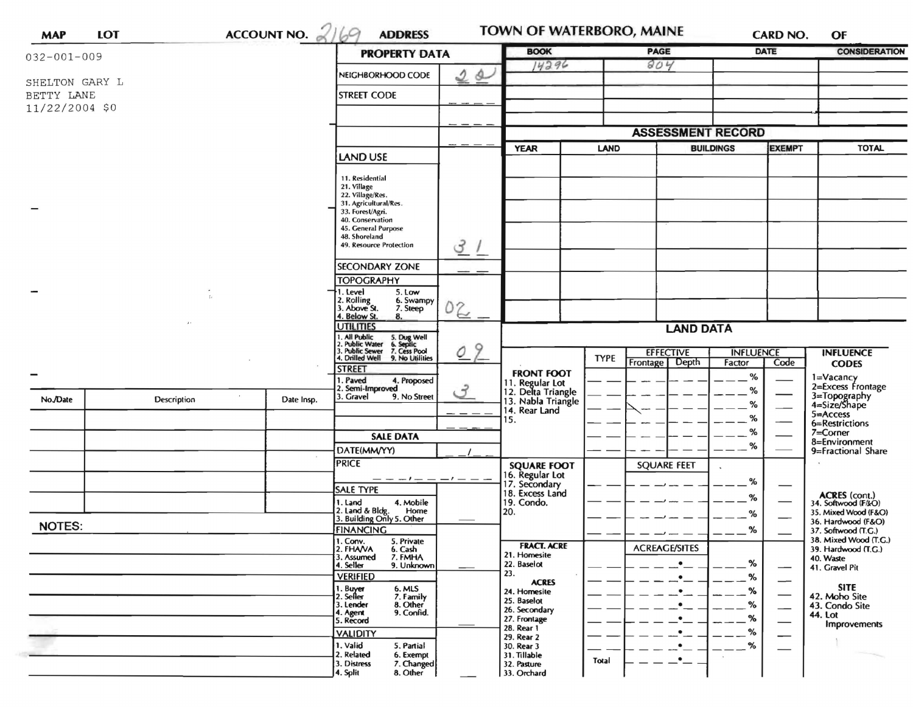| <b>MAP</b>        | <b>LOT</b>         | ACCOUNT NO. $2169$<br><b>ADDRESS</b> |  |                                                                                                                           |                               | <b>BOOK</b>                              |                  | PAGE                     |                                   | CARD NO.<br><b>DATE</b>  | OF<br><b>CONSIDERATION</b>                                                    |
|-------------------|--------------------|--------------------------------------|--|---------------------------------------------------------------------------------------------------------------------------|-------------------------------|------------------------------------------|------------------|--------------------------|-----------------------------------|--------------------------|-------------------------------------------------------------------------------|
| $032 - 001 - 009$ |                    | <b>PROPERTY DATA</b>                 |  | 14296                                                                                                                     |                               | 804                                      |                  |                          |                                   |                          |                                                                               |
| SHELTON GARY L    |                    |                                      |  | NEIGHBORHOOD CODE                                                                                                         | 2a                            |                                          |                  |                          |                                   |                          |                                                                               |
| BETTY LANE        |                    |                                      |  | <b>STREET CODE</b>                                                                                                        |                               |                                          |                  |                          |                                   |                          |                                                                               |
| 11/22/2004 \$0    |                    |                                      |  |                                                                                                                           |                               |                                          |                  |                          |                                   |                          |                                                                               |
|                   |                    |                                      |  |                                                                                                                           |                               |                                          |                  |                          |                                   |                          |                                                                               |
|                   |                    |                                      |  |                                                                                                                           |                               |                                          |                  | <b>ASSESSMENT RECORD</b> |                                   |                          |                                                                               |
|                   |                    |                                      |  | <b>LAND USE</b>                                                                                                           |                               | <b>YEAR</b>                              | <b>LAND</b>      |                          | <b>EXEMPT</b><br><b>BUILDINGS</b> |                          | <b>TOTAL</b>                                                                  |
|                   |                    |                                      |  |                                                                                                                           |                               |                                          |                  |                          |                                   |                          |                                                                               |
|                   |                    |                                      |  | 11. Residential<br>21. Village                                                                                            |                               |                                          |                  |                          |                                   |                          |                                                                               |
|                   |                    |                                      |  | 22. Village/Res.<br>31. Agricultural/Res.                                                                                 |                               |                                          |                  |                          |                                   |                          |                                                                               |
|                   |                    |                                      |  | 33. Forest/Agri.<br>40. Conservation                                                                                      |                               |                                          |                  |                          |                                   |                          |                                                                               |
|                   |                    |                                      |  | 45. General Purpose<br>48. Shoreland                                                                                      |                               |                                          |                  |                          |                                   |                          |                                                                               |
|                   |                    |                                      |  | 49. Resource Protection                                                                                                   | 3/                            |                                          |                  |                          |                                   |                          |                                                                               |
|                   |                    |                                      |  | <b>SECONDARY ZONE</b>                                                                                                     |                               |                                          |                  |                          |                                   |                          |                                                                               |
|                   |                    |                                      |  | <b>TOPOGRAPHY</b>                                                                                                         |                               |                                          |                  |                          |                                   |                          |                                                                               |
|                   |                    |                                      |  | 1. Level<br>5. Low                                                                                                        |                               |                                          |                  |                          |                                   |                          |                                                                               |
|                   |                    |                                      |  | 2. Rolling<br>3. Above St.<br>6. Swampy<br>7. Steep                                                                       | 02                            |                                          |                  |                          |                                   |                          |                                                                               |
|                   |                    |                                      |  | 4. Below St.<br>8.<br><b>UTILITIES</b>                                                                                    |                               |                                          |                  |                          |                                   |                          |                                                                               |
|                   |                    |                                      |  |                                                                                                                           |                               |                                          | <b>LAND DATA</b> |                          |                                   |                          |                                                                               |
|                   |                    |                                      |  | 1. All Public 5. Dug Well<br>2. Public Water 6. Septic<br>3. Public Sewer 7. Cess Pool<br>4. Drilled Well 9. No Utilities | 9<br>$\overline{\mathcal{O}}$ |                                          | <b>TYPE</b>      | <b>EFFECTIVE</b>         | <b>INFLUENCE</b>                  |                          | <b>INFLUENCE</b>                                                              |
|                   |                    |                                      |  | <b>STREET</b>                                                                                                             |                               | <b>FRONT FOOT</b>                        |                  | Depth<br>Frontage        | Factor                            | Code                     | <b>CODES</b>                                                                  |
|                   |                    |                                      |  | 1. Paved<br>4. Proposed<br>2. Semi-Improved                                                                               |                               | 11. Regular Lot                          |                  |                          | $\%$                              |                          | 1=Vacancy<br>2=Excess Frontage                                                |
| No./Date          | <b>Description</b> | Date Insp.                           |  | 3. Gravel<br>9. No Street                                                                                                 | $\mathcal{F}$                 | 12. Delta Triangle<br>13. Nabla Triangle |                  |                          | %                                 |                          | 3=Topography<br>4=Size/Shape                                                  |
|                   |                    |                                      |  |                                                                                                                           | - - - -                       | 14. Rear Land                            |                  |                          | %<br>%                            | $\overline{\phantom{0}}$ | 5=Access<br>6=Restrictions<br>7=Corner<br>8=Environment<br>9=Fractional Share |
|                   |                    |                                      |  |                                                                                                                           |                               | 15.                                      |                  |                          | %                                 |                          |                                                                               |
|                   |                    |                                      |  | <b>SALE DATA</b>                                                                                                          |                               |                                          |                  |                          | $\%$                              |                          |                                                                               |
|                   |                    |                                      |  | DATE(MM/YY)<br><b>PRICE</b>                                                                                               |                               |                                          |                  |                          |                                   |                          |                                                                               |
|                   |                    |                                      |  | — — — ! — — — - — — —                                                                                                     |                               | <b>SQUARE FOOT</b><br>16. Regular Lot    |                  | <b>SQUARE FEET</b>       |                                   |                          |                                                                               |
|                   |                    |                                      |  | SALE TYPE                                                                                                                 |                               | 17. Secondary<br>18. Excess Land         |                  |                          | %                                 |                          |                                                                               |
|                   |                    |                                      |  | 4. Mobile<br>1. Land                                                                                                      |                               | 19. Condo.                               |                  |                          | %                                 |                          | <b>ACRES</b> (cont.)<br>34. Softwood (F/kO)                                   |
|                   |                    |                                      |  | 2. Land & Bldg. Home<br>3. Building Only 5. Other<br>Home                                                                 |                               | 20.                                      |                  |                          | %                                 |                          | 35. Mixed Wood (F&O)<br>36. Hardwood (F&O)                                    |
| <b>NOTES:</b>     |                    |                                      |  | <b>FINANCING</b><br>5. Private                                                                                            |                               |                                          |                  |                          | %                                 |                          | 37. Softwood (T.G.)<br>38. Mixed Wood (T.G.)                                  |
|                   |                    |                                      |  | 1. Conv.<br>2. FHAVA<br>6. Cash                                                                                           |                               | <b>FRACT. ACRE</b><br>21. Homesite       |                  | <b>ACREAGE/SITES</b>     |                                   |                          | 39. Hardwood (T.G.)                                                           |
|                   |                    |                                      |  | 3. Assumed<br>7. FMHA<br>4. Seller<br>9. Unknown                                                                          |                               | 22. Baselot                              |                  | $\bullet$                | %                                 |                          | 40. Waste<br>41. Gravel Pit                                                   |
|                   |                    |                                      |  | <b>VERIFIED</b>                                                                                                           |                               | 23.<br><b>ACRES</b>                      |                  | $\bullet$                | %                                 | $\overline{\phantom{0}}$ |                                                                               |
|                   |                    |                                      |  | 1. Buyer<br>2. Seller<br>6. MLS<br>7. Family                                                                              |                               | 24. Homesite<br>25. Baselot              |                  |                          | %                                 |                          | <b>SITE</b><br>42. Moho Site                                                  |
|                   |                    |                                      |  | 8. Other<br>3. Lender<br>4. Agent<br>9. Confid.                                                                           |                               | 26. Secondary                            |                  |                          | %                                 | —                        | 43. Condo Site<br>44. Lot                                                     |
|                   |                    |                                      |  | 5. Record                                                                                                                 |                               | 27. Frontage<br>28. Rear 1               |                  |                          | ℅                                 |                          | Improvements                                                                  |
|                   |                    |                                      |  | <b>VALIDITY</b><br>1. Valid<br>5. Partial                                                                                 |                               | 29. Rear 2<br>30. Rear 3                 |                  |                          | %<br>%                            |                          |                                                                               |
|                   |                    |                                      |  | 2. Related<br>6. Exempt                                                                                                   |                               | 31. Tillable                             | Total            | ٠                        |                                   |                          |                                                                               |
|                   |                    |                                      |  | 3. Distress<br>7. Changed<br>8. Other                                                                                     |                               | 32. Pasture                              |                  |                          |                                   |                          |                                                                               |